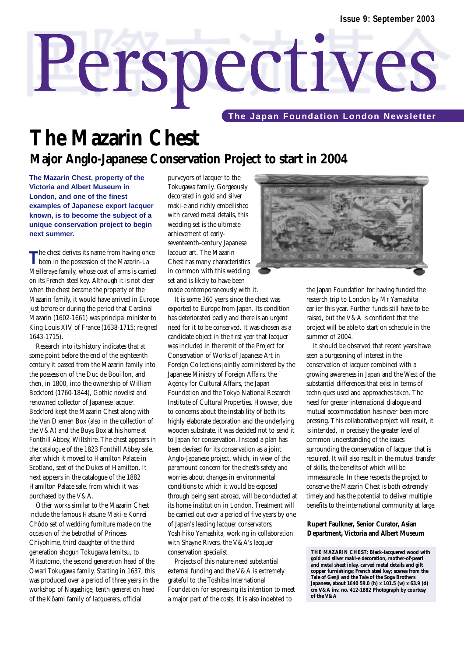# Perspectives

**The Japan Foundation London Newsletter** 

# **The Mazarin Chest Major Anglo-Japanese Conservation Project to start in 2004**

**The Mazarin Chest, property of the Victoria and Albert Museum in London, and one of the finest examples of Japanese export lacquer known, is to become the subject of a unique conservation project to begin next summer.**

The chest derives its name from having once<br>been in the possession of the Mazarin-La Meilleraye family, whose coat of arms is carried on its French steel key. Although it is not clear when the chest became the property of the Mazarin family, it would have arrived in Europe just before or during the period that Cardinal Mazarin (1602-1661) was principal minister to King Louis XIV of France (1638-1715; reigned 1643-1715).

Research into its history indicates that at some point before the end of the eighteenth century it passed from the Mazarin family into the possession of the Duc de Bouillon, and then, in 1800, into the ownership of William Beckford (1760-1844), Gothic novelist and renowned collector of Japanese lacquer. Beckford kept the Mazarin Chest along with the Van Diemen Box (also in the collection of the V&A) and the Buys Box at his home at Fonthill Abbey, Wiltshire. The chest appears in the catalogue of the 1823 Fonthill Abbey sale, after which it moved to Hamilton Palace in Scotland, seat of the Dukes of Hamilton. It next appears in the catalogue of the 1882 Hamilton Palace sale, from which it was purchased by the V&A.

Other works similar to the Mazarin Chest include the famous Hatsune Maki-e Konrei Chôdo set of wedding furniture made on the occasion of the betrothal of Princess Chiyohime, third daughter of the third generation shogun Tokugawa Iemitsu, to Mitsutomo, the second generation head of the Owari Tokugawa family. Starting in 1637, this was produced over a period of three years in the workshop of Nagashige, tenth generation head of the Kôami family of lacquerers, official

purveyors of lacquer to the Tokugawa family. Gorgeously decorated in gold and silver maki-e and richly embellished with carved metal details, this wedding set is the ultimate achievement of earlyseventeenth-century Japanese lacquer art. The Mazarin Chest has many characteristics in common with this wedding set and is likely to have been made contemporaneously with it.

It is some 360 years since the chest was exported to Europe from Japan. Its condition has deteriorated badly and there is an urgent need for it to be conserved. It was chosen as a candidate object in the first year that lacquer was included in the remit of the Project for Conservation of Works of Japanese Art in Foreign Collections jointly administered by the Japanese Ministry of Foreign Affairs, the Agency for Cultural Affairs, the Japan Foundation and the Tokyo National Research Institute of Cultural Properties. However, due to concerns about the instability of both its highly elaborate decoration and the underlying wooden substrate, it was decided not to send it to Japan for conservation. Instead a plan has been devised for its conservation as a joint Anglo-Japanese project, which, in view of the paramount concern for the chest's safety and worries about changes in environmental conditions to which it would be exposed through being sent abroad, will be conducted at its home institution in London. Treatment will be carried out over a period of five years by one of Japan's leading lacquer conservators, Yoshihiko Yamashita, working in collaboration with Shayne Rivers, the V&A's lacquer conservation specialist.

Projects of this nature need substantial external funding and the V&A is extremely grateful to the Toshiba International Foundation for expressing its intention to meet a major part of the costs. It is also indebted to



the Japan Foundation for having funded the research trip to London by Mr Yamashita earlier this year. Further funds still have to be raised, but the V&A is confident that the project will be able to start on schedule in the summer of 2004.

It should be observed that recent years have seen a burgeoning of interest in the conservation of lacquer combined with a growing awareness in Japan and the West of the substantial differences that exist in terms of techniques used and approaches taken. The need for greater international dialogue and mutual accommodation has never been more pressing. This collaborative project will result, it is intended, in precisely the greater level of common understanding of the issues surrounding the conservation of lacquer that is required. It will also result in the mutual transfer of skills, the benefits of which will be immeasurable. In these respects the project to conserve the Mazarin Chest is both extremely timely and has the potential to deliver multiple benefits to the international community at large.

#### **Rupert Faulkner, Senior Curator, Asian Department, Victoria and Albert Museum**

**THE MAZARIN CHEST: Black-lacquered wood with gold and silver** *maki-e* **decoration, mother-of-pearl and metal sheet inlay, carved metal details and gilt copper furnishings; French steel key; scenes from the Tale of Genji and the Tale of the Soga Brothers Japanese, about 1640 59.0 (h) x 101.5 (w) x 63.9 (d) cm V&A inv. no. 412-1882 Photograph by courtesy of the V&A**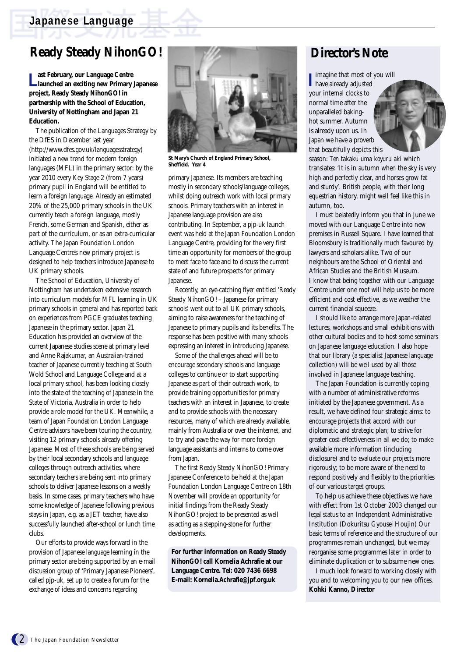## **Japanese Language**

# **Ready Steady NihonGO!**

**L** ast February, our Language Centre<br>
Launched an exciting new Primary Japanese **ast February, our Language Centre project, Ready Steady NihonGO! in partnership with the School of Education, University of Nottingham and Japan 21 Education.** 

The publication of the Languages Strategy by the DfES in December last year (http://www.dfes.gov.uk/languagesstrategy) initiated a new trend for modern foreign languages (MFL) in the primary sector: by the year 2010 every Key Stage 2 (from 7 years) primary pupil in England will be entitled to learn a foreign language. Already an estimated 20% of the 25,000 primary schools in the UK currently teach a foreign language, mostly French, some German and Spanish, either as part of the curriculum, or as an extra-curricular activity. The Japan Foundation London Language Centre's new primary project is designed to help teachers introduce Japanese to UK primary schools.

The School of Education, University of Nottingham has undertaken extensive research into curriculum models for MFL learning in UK primary schools in general and has reported back on experiences from PGCE graduates teaching Japanese in the primary sector. Japan 21 Education has provided an overview of the current Japanese studies scene at primary level and Anne Rajakumar, an Australian-trained teacher of Japanese currently teaching at South Wold School and Language College and at a local primary school, has been looking closely into the state of the teaching of Japanese in the State of Victoria, Australia in order to help provide a role model for the UK. Meanwhile, a team of Japan Foundation London Language Centre advisors have been touring the country, visiting 12 primary schools already offering Japanese. Most of these schools are being served by their local secondary schools and language colleges through outreach activities, where secondary teachers are being sent into primary schools to deliver Japanese lessons on a weekly basis. In some cases, primary teachers who have some knowledge of Japanese following previous stays in Japan, e.g. as a JET teacher, have also successfully launched after-school or lunch time clubs.

Our efforts to provide ways forward in the provision of Japanese language learning in the primary sector are being supported by an e-mail discussion group of 'Primary Japanese Pioneers', called pjp-uk, set up to create a forum for the exchange of ideas and concerns regarding



**St Mary's Church of England Primary School, Sheffield. Year 4**

primary Japanese. Its members are teaching mostly in secondary schools/language colleges, whilst doing outreach work with local primary schools. Primary teachers with an interest in Japanese language provision are also contributing. In September, a pjp-uk launch event was held at the Japan Foundation London Language Centre, providing for the very first time an opportunity for members of the group to meet face to face and to discuss the current state of and future prospects for primary Japanese.

Recently, an eye-catching flyer entitled 'Ready Steady NihonGO! – Japanese for primary schools' went out to all UK primary schools, aiming to raise awareness for the teaching of Japanese to primary pupils and its benefits. The response has been positive with many schools expressing an interest in introducing Japanese.

Some of the challenges ahead will be to encourage secondary schools and language colleges to continue or to start supporting Japanese as part of their outreach work, to provide training opportunities for primary teachers with an interest in Japanese, to create and to provide schools with the necessary resources, many of which are already available, mainly from Australia or over the internet, and to try and pave the way for more foreign language assistants and interns to come over from Japan.

The first Ready Steady NihonGO! Primary Japanese Conference to be held at the Japan Foundation London Language Centre on 18th November will provide an opportunity for initial findings from the Ready Steady NihonGO! project to be presented as well as acting as a stepping-stone for further developments.

**For further information on Ready Steady NihonGO! call Kornelia Achrafie at our Language Centre. Tel: 020 7436 6698 E-mail: Kornelia.Achrafie@jpf.org.uk**

# **Director's Note**

imagine that most of you will

**I** have already adjusted your internal clocks to normal time after the unparalleled bakinghot summer. Autumn is already upon us. In Japan we have a proverb that beautifully depicts this



season: *Ten takaku uma koyuru aki* which translates: 'It is in autumn when the sky is very high and perfectly clear, and horses grow fat and sturdy'. British people, with their long equestrian history, might well feel like this in autumn, too.

I must belatedly inform you that in June we moved with our Language Centre into new premises in Russell Square. I have learned that Bloomsbury is traditionally much favoured by lawyers and scholars alike. Two of our neighbours are the School of Oriental and African Studies and the British Museum. I know that being together with our Language Centre under one roof will help us to be more efficient and cost effective, as we weather the current financial squeeze.

I should like to arrange more Japan-related lectures, workshops and small exhibitions with other cultural bodies and to host some seminars on Japanese language education. I also hope that our library (a specialist Japanese language collection) will be well used by all those involved in Japanese language teaching.

The Japan Foundation is currently coping with a number of administrative reforms initiated by the Japanese government. As a result, we have defined four strategic aims: to encourage projects that accord with our diplomatic and strategic plan; to strive for greater cost-effectiveness in all we do; to make available more information (including disclosure) and to evaluate our projects more rigorously; to be more aware of the need to respond positively and flexibly to the priorities of our various target groups.

To help us achieve these objectives we have with effect from 1st October 2003 changed our legal status to an Independent Administrative Institution (Dokuritsu Gyousei Houjin) Our basic terms of reference and the structure of our programmes remain unchanged, but we may reorganise some programmes later in order to eliminate duplication or to subsume new ones.

I much look forward to working closely with you and to welcoming you to our new offices. **Kohki Kanno, Director**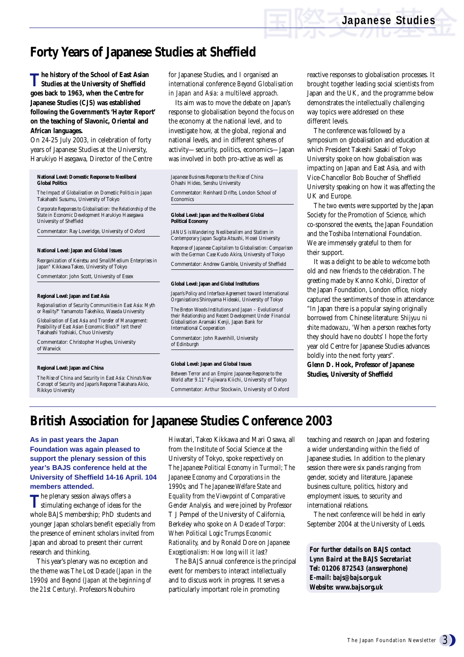# **Forty Years of Japanese Studies at Sheffield**

**T he history of the School of East Asian Studies at the University of Sheffield goes back to 1963, when the Centre for Japanese Studies (CJS) was established following the Government's 'Hayter Report' on the teaching of Slavonic, Oriental and African languages.**

On 24-25 July 2003, in celebration of forty years of Japanese Studies at the University, Harukiyo Hasegawa, Director of the Centre

**National Level: Domestic Response to Neoliberal Global Politics**

*The Impact of Globalisation on Domestic Politics in Japan* Takahashi Susumu, University of Tokyo

*Corporate Responses to Globalisation: the Relationship of the State in Economic Development* Harukiyo Hasegawa University of Sheffield

Commentator: Ray Loveridge, University of Oxford

#### **National Level: Japan and Global Issues**

*Reorganization of Keiretsu and Small/Medium Enterprises in Japan"* Kikkawa Takeo, University of Tokyo

Commentator: John Scott, University of Essex

#### **Regional Level: Japan and East Asia**

*Regionalisation of Security Communities in East Asia: Myth or Reality?"* Yamamoto Takehiko, Waseda University

*Globalisation of East Asia and Transfer of Management: Possibility of East Asian Economic Block?" Isn't there?* Takahashi Yoshiaki, Chuo University

Commentator: Christopher Hughes, University of Warwick

#### **Regional Level: Japan and China**

*The Rise of China and Security in East Asia: China's New Concept of Security and Japan's Response* Takahara Akio, Rikkyo University

for Japanese Studies, and I organised an international conference *Beyond Globalisation in Japan and Asia: a multilevel approach.* 

Its aim was to move the debate on Japan's response to globalisation beyond the focus on the economy at the national level, and to investigate how, at the global, regional and national levels, and in different spheres of activity—security, politics, economics—Japan was involved in both pro-active as well as

*Japanese Business Response to the Rise of China* Ohashi Hideo, Senshu University

Commentator: Reinhard Drifte, London School of Economics

#### **Global Level: Japan and the Neoliberal Global Political Economy**

*JANUS is Wandering: Neoliberalism and Statism in Contemporary Japan* Sugita Atsushi, Hosei University

*Response of Japanese Capitalism to Globalisation: Comparison with the German Case* Kudo Akira, University of Tokyo

Commentator: Andrew Gamble, University of Sheffield

#### **Global Level: Japan and Global Institutions**

*Japan's Policy and Interface Agreement toward International Organisations* Shiroyama Hideaki, University of Tokyo

*The Breton Woods Institutions and Japan – Evolutions of their Relationship and Recent Development Under Financial Globalisation* Aramaki Kenji, Japan Bank for International Cooperation

Commentator: John Ravenhill, University of Edinburgh

#### **Global Level: Japan and Global Issues**

*Between Terror and an Empire: Japanese Response to the World after 9.11"* Fujiwara Kiichi, University of Tokyo Commentator: Arthur Stockwin, University of Oxford

reactive responses to globalisation processes. It brought together leading social scientists from Japan and the UK, and the programme below demonstrates the intellectually challenging way topics were addressed on these different levels.

The conference was followed by a symposium on globalisation and education at which President Takeshi Sasaki of Tokyo University spoke on how globalisation was impacting on Japan and East Asia, and with Vice-Chancellor Bob Boucher of Sheffield University speaking on how it was affecting the UK and Europe.

The two events were supported by the Japan Society for the Promotion of Science, which co-sponsored the events, the Japan Foundation and the Toshiba International Foundation. We are immensely grateful to them for their support.

It was a delight to be able to welcome both old and new friends to the celebration. The greeting made by Kanno Kohki, Director of the Japan Foundation, London office, nicely captured the sentiments of those in attendance: "In Japan there is a popular saying originally borrowed from Chinese literature: *Shijyuu ni shite madowazu*, 'When a person reaches forty they should have no doubts' I hope the forty year old Centre for Japanese Studies advances boldly into the next forty years".

**Glenn D. Hook, Professor of Japanese Studies, University of Sheffield** 

## **British Association for Japanese Studies Conference 2003**

**As in past years the Japan Foundation was again pleased to support the plenary session of this year's BAJS conference held at the University of Sheffield 14-16 April. 104 members attended.**

The plenary session always offers a<br>stimulating exchange of ideas for the whole BAJS membership; PhD students and younger Japan scholars benefit especially from the presence of eminent scholars invited from Japan and abroad to present their current research and thinking.

This year's plenary was no exception and the theme was *The Lost Decade (Japan in the 1990s) and Beyond (Japan at the beginning of the 21st Century).* Professors Nobuhiro

Hiwatari, Takeo Kikkawa and Mari Osawa, all from the Institute of Social Science at the University of Tokyo, spoke respectively on *The Japanese Political Economy in Turmoil; The Japanese Economy and Corporations in the 1990s;* and *The Japanese Welfare State and Equality from the Viewpoint of Comparative Gender Analysis,* and were joined by Professor T J Pempel of the University of California, Berkeley who spoke on *A Decade of Torpor: When Political Logic Trumps Economic Rationality,* and by Ronald Dore on *Japanese Exceptionalism: How long will it last?*

The BAJS annual conference is the principal event for members to interact intellectually and to discuss work in progress. It serves a particularly important role in promoting

teaching and research on Japan and fostering a wider understanding within the field of Japanese studies. In addition to the plenary session there were six panels ranging from gender, society and literature, Japanese business culture, politics, history and employment issues, to security and international relations.

The next conference will be held in early September 2004 at the University of Leeds.

*For further details on BAJS contact Lynn Baird at the BAJS Secretariat Tel: 01206 872543 (answerphone) E-mail: bajs@bajs.org.uk Website: www.bajs.org.uk*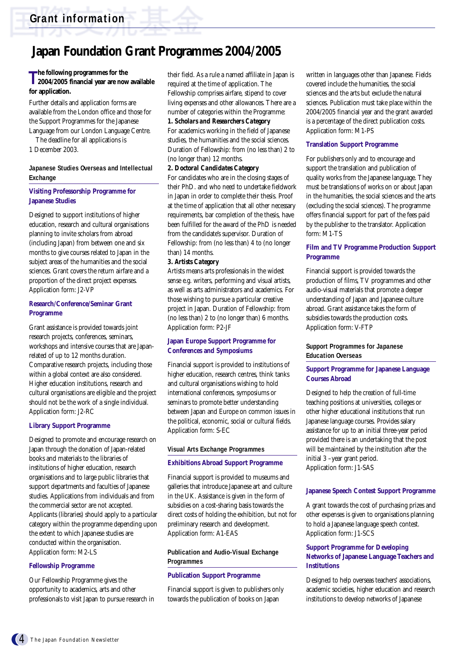# **Japan Foundation Grant Programmes 2004/2005**

## **The following programmes for the**<br> **2004/2005 financial year are now 2004/2005 financial year are now available for application.**

Further details and application forms are available from the London office and those for the Support Programmes for the Japanese Language from our London Language Centre.

The deadline for all applications is

1 December 2003.

#### **Japanese Studies Overseas and Intellectual Exchange**

#### **Visiting Professorship Programme for Japanese Studies**

Designed to support institutions of higher education, research and cultural organisations planning to invite scholars from abroad (including Japan) from between one and six months to give courses related to Japan in the subject areas of the humanities and the social sciences. Grant covers the return airfare and a proportion of the direct project expenses. Application form: J2-VP

#### **Research/Conference/Seminar Grant Programme**

Grant assistance is provided towards joint research projects, conferences, seminars, workshops and intensive courses that are Japanrelated of up to 12 months duration. Comparative research projects, including those within a global context are also considered. Higher education institutions, research and cultural organisations are eligible and the project should not be the work of a single individual. Application form: J2-RC

#### **Library Support Programme**

Designed to promote and encourage research on Japan through the donation of Japan-related books and materials to the libraries of institutions of higher education, research organisations and to large public libraries that support departments and faculties of Japanese studies. Applications from individuals and from the commercial sector are not accepted. Applicants (libraries) should apply to a particular category within the programme depending upon the extent to which Japanese studies are conducted within the organisation. Application form: M2-LS

#### **Fellowship Programme**

Our Fellowship Programme gives the opportunity to academics, arts and other professionals to visit Japan to pursue research in their field. As a rule a named affiliate in Japan is required at the time of application. The Fellowship comprises airfare, stipend to cover living expenses and other allowances. There are a number of categories within the Programme:

#### *1. Scholars and Researchers Category*

For academics working in the field of Japanese studies, the humanities and the social sciences. Duration of Fellowship: from (no less than) 2 to (no longer than) 12 months.

#### *2. Doctoral Candidates Category*

For candidates who are in the closing stages of their PhD. and who need to undertake fieldwork in Japan in order to complete their thesis. Proof at the time of application that all other necessary requirements, bar completion of the thesis, have been fulfilled for the award of the PhD is needed from the candidate's supervisor. Duration of Fellowship: from (no less than) 4 to (no longer than) 14 months.

#### *3. Artists Category*

Artists means arts professionals in the widest sense e.g. writers, performing and visual artists, as well as arts administrators and academics. For those wishing to pursue a particular creative project in Japan. Duration of Fellowship: from (no less than) 2 to (no longer than) 6 months. Application form: P2-JF

### **Japan Europe Support Programme for Conferences and Symposiums**

Financial support is provided to institutions of higher education, research centres, think tanks and cultural organisations wishing to hold international conferences, symposiums or seminars to promote better understanding between Japan and Europe on common issues in the political, economic, social or cultural fields. Application form: S-EC

#### **Visual Arts Exchange Programmes**

#### **Exhibitions Abroad Support Programme**

Financial support is provided to museums and galleries that introduce Japanese art and culture in the UK. Assistance is given in the form of subsidies on a cost-sharing basis towards the direct costs of holding the exhibition, but not for preliminary research and development. Application form: A1-EAS

## **Publication and Audio-Visual Exchange Programmes**

#### **Publication Support Programme**

Financial support is given to publishers only towards the publication of books on Japan

written in languages other than Japanese. Fields covered include the humanities, the social sciences and the arts but exclude the natural sciences. Publication must take place within the 2004/2005 financial year and the grant awarded is a percentage of the direct publication costs. Application form: M1-PS

#### **Translation Support Programme**

For publishers only and to encourage and support the translation and publication of quality works from the Japanese language. They must be translations of works on or about Japan in the humanities, the social sciences and the arts (excluding the social sciences). The programme offers financial support for part of the fees paid by the publisher to the translator. Application form: M1-TS

#### **Film and TV Programme Production Support Programme**

Financial support is provided towards the production of films, TV programmes and other audio-visual materials that promote a deeper understanding of Japan and Japanese culture abroad. Grant assistance takes the form of subsidies towards the production costs. Application form: V-FTP

## **Support Programmes for Japanese Education Overseas**

#### **Support Programme for Japanese Language Courses Abroad**

Designed to help the creation of full-time teaching positions at universities, colleges or other higher educational institutions that run Japanese language courses. Provides salary assistance for up to an initial three-year period provided there is an undertaking that the post will be maintained by the institution after the initial 3 –year grant period. Application form: J1-SAS

#### **Japanese Speech Contest Support Programme**

A grant towards the cost of purchasing prizes and other expenses is given to organisations planning to hold a Japanese language speech contest. Application form: J1-SCS

### **Support Programme for Developing Networks of Japanese Language Teachers and Institutions**

Designed to help overseas teachers' associations, academic societies, higher education and research institutions to develop networks of Japanese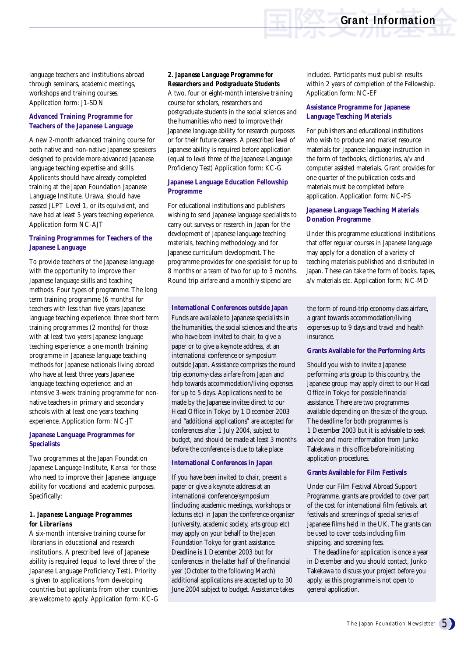language teachers and institutions abroad through seminars, academic meetings, workshops and training courses. Application form: J1-SDN

## **Advanced Training Programme for Teachers of the Japanese Language**

A new 2-month advanced training course for both native and non-native Japanese speakers designed to provide more advanced Japanese language teaching expertise and skills. Applicants should have already completed training at the Japan Foundation Japanese Language Institute, Urawa, should have passed JLPT Level 1, or its equivalent, and have had at least 5 years teaching experience. Application form NC-AJT

### **Training Programmes for Teachers of the Japanese Language**

To provide teachers of the Japanese language with the opportunity to improve their Japanese language skills and teaching methods. Four types of programme: The long term training programme (6 months) for teachers with less than five years Japanese language teaching experience: three short term training programmes (2 months) for those with at least two years Japanese language teaching experience: a one-month training programme in Japanese language teaching methods for Japanese nationals living abroad who have at least three years Japanese language teaching experience: and an intensive 3-week training programme for nonnative teachers in primary and secondary schools with at least one years teaching experience. Application form: NC-JT

### **Japanese Language Programmes for Specialists**

Two programmes at the Japan Foundation Japanese Language Institute, Kansai for those who need to improve their Japanese language ability for vocational and academic purposes. Specifically:

### *1. Japanese Language Programmes for Librarians*

A six-month intensive training course for librarians in educational and research institutions. A prescribed level of Japanese ability is required (equal to level three of the Japanese Language Proficiency Test). Priority is given to applications from developing countries but applicants from other countries are welcome to apply. Application form: KC-G

## *2. Japanese Language Programme for Researchers and Postgraduate Students*

A two, four or eight-month intensive training course for scholars, researchers and postgraduate students in the social sciences and the humanities who need to improve their Japanese language ability for research purposes or for their future careers. A prescribed level of Japanese ability is required before application (equal to level three of the Japanese Language Proficiency Test) Application form: KC-G

## **Japanese Language Education Fellowship Programme**

For educational institutions and publishers wishing to send Japanese language specialists to carry out surveys or research in Japan for the development of Japanese language teaching materials, teaching methodology and for Japanese curriculum development. The programme provides for one specialist for up to 8 months or a team of two for up to 3 months. Round trip airfare and a monthly stipend are

### **International Conferences outside Japan**

Funds are available to Japanese specialists in the humanities, the social sciences and the arts who have been invited to chair, to give a paper or to give a keynote address, at an international conference or symposium outside Japan. Assistance comprises the round trip economy-class airfare from Japan and help towards accommodation/living expenses for up to 5 days. Applications need to be made by the Japanese invitee direct to our Head Office in Tokyo by 1 December 2003 and "additional applications" are accepted for conferences after 1 July 2004, subject to budget, and should be made at least 3 months before the conference is due to take place

### **International Conferences in Japan**

If you have been invited to chair, present a paper or give a keynote address at an international conference/symposium (including academic meetings, workshops or lectures etc) in Japan the conference organiser (university, academic society, arts group etc) may apply on your behalf to the Japan Foundation Tokyo for grant assistance. Deadline is 1 December 2003 but for conferences in the latter half of the financial year (October to the following March) additional applications are accepted up to 30 June 2004 subject to budget. Assistance takes

included. Participants must publish results within 2 years of completion of the Fellowship. Application form: NC-EF

## **Assistance Programme for Japanese Language Teaching Materials**

For publishers and educational institutions who wish to produce and market resource materials for Japanese language instruction in the form of textbooks, dictionaries, a/v and computer assisted materials. Grant provides for one quarter of the publication costs and materials must be completed before application. Application form: NC-PS

### **Japanese Language Teaching Materials Donation Programme**

Under this programme educational institutions that offer regular courses in Japanese language may apply for a donation of a variety of teaching materials published and distributed in Japan. These can take the form of books, tapes, a/v materials etc. Application form: NC-MD

the form of round-trip economy class airfare, a grant towards accommodation/living expenses up to 9 days and travel and health insurance.

#### **Grants Available for the Performing Arts**

Should you wish to invite a Japanese performing arts group to this country, the Japanese group may apply direct to our Head Office in Tokyo for possible financial assistance. There are two programmes available depending on the size of the group. The deadline for both programmes is 1 December 2003 but it is advisable to seek advice and more information from Junko Takekawa in this office before initiating application procedures.

### **Grants Available for Film Festivals**

Under our Film Festival Abroad Support Programme, grants are provided to cover part of the cost for international film festivals, art festivals and screenings of special series of Japanese films held in the UK. The grants can be used to cover costs including film shipping, and screening fees.

The deadline for application is once a year in December and you should contact, Junko Takekawa to discuss your project before you apply, as this programme is not open to general application.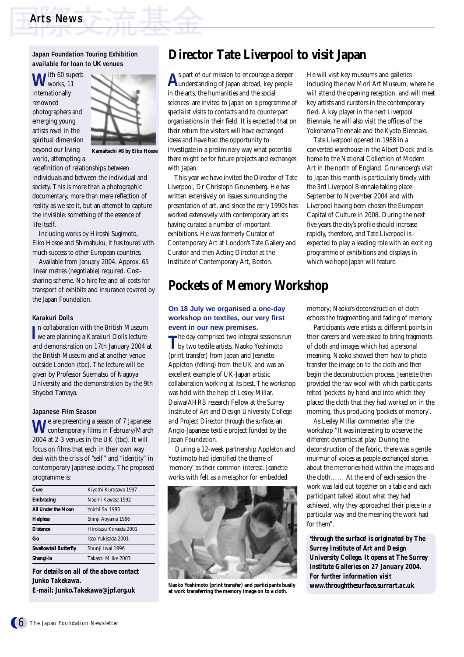#### **Japan Foundation Touring Exhibition available for loan to UK venues**

ith 60 superb works, 11 internationally renowned photographers and emerging young artists revel in the spiritual dimension beyond our living world, attempting a



**Kamaitachi #8 by Eiko Hosoe** 

redefinition of relationships between individuals and between the individual and society. This is more than a photographic documentary, more than mere reflection of reality as we see it, but an attempt to capture the invisible; something of the essence of life itself.

Including works by Hiroshi Sugimoto, Eiko Hosoe and Shimabuku, it has toured with much success to other European countries.

Available from January 2004. Approx. 65 linear metres (negotiable) required. Costsharing scheme. No hire fee and all costs for transport of exhibits and insurance covered by the Japan Foundation.

#### **Karakuri Dolls**

**I**n collaboration with the British Museum<br> **I** we are planning a Karakuri Dolls lecture we are planning a Karakuri Dolls lecture and demonstration on 17th January 2004 at the British Museum and at another venue outside London (tbc). The lecture will be given by Professor Suematsu of Nagoya University and the demonstration by the 9th Shyobei Tamaya.

#### **Japanese Film Season**

**W**e are presenting a season of 7 Japanese contemporary films in February/March 2004 at 2-3 venues in the UK (tbc). It will focus on films that each in their own way deal with the crisis of "self" and "identity" in contemporary Japanese society. The proposed programme is:

| Cure                  | Kiyoshi Kurosawa 1997 |
|-----------------------|-----------------------|
| <b>Embracing</b>      | Naomi Kawase 1992     |
| All Under the Moon    | Yoichi Sai 1993       |
| <b>Helpless</b>       | Shinji Aoyama 1996    |
| <b>Distance</b>       | Hirokazu Koreeda 2001 |
| Go                    | Isao Yukisada 2001    |
| Swallowtail Butterfly | Shunji Iwai 1996      |
| Shangi-la             | Takashi Miike 2003    |

*For details on all of the above contact Junko Takekawa. E-mail: Junko.Takekawa@jpf.org.uk*

## **Director Tate Liverpool to visit Japan**

**A**s part of our mission to encourage a deeper understanding of Japan abroad, key people in the arts, the humanities and the social sciences are invited to Japan on a programme of specialist visits to contacts and to counterpart organisations in their field. It is expected that on their return the visitors will have exchanged ideas and have had the opportunity to investigate in a preliminary way what potential there might be for future projects and exchanges with Japan.

This year we have invited the Director of Tate Liverpool, Dr Christoph Grunenberg. He has written extensively on issues surrounding the presentation of art, and since the early 1990s has worked extensively with contemporary artists having curated a number of important exhibitions. He was formerly Curator of Contemporary Art at London's Tate Gallery and Curator and then Acting Director at the Institute of Contemporary Art, Boston.

## **Pockets of Memory Workshop**

#### **On 18 July we organised a one-day workshop on textiles, our very first event in our new premises.**

The day comprised two integral sessions run<br>by two tortil by two textile artists, Naoko Yoshimoto (print transfer) from Japan and Jeanette Appleton (felting) from the UK and was an excellent example of UK-Japan artistic collaboration working at its best. The workshop was held with the help of Lesley Millar, Daiwa/AHRB research Fellow at the Surrey Institute of Art and Design University College and Project Director *through the surface*, an Anglo-Japanese textile project funded by the Japan Foundation.

During a 12-week partnership Appleton and Yoshimoto had identified the theme of 'memory' as their common interest. Jeanette works with felt as a metaphor for embedded



**Naoko Yoshimoto (print transfer) and participants busily at work transferring the memory image on to a cloth.**

He will visit key museums and galleries including the new Mori Art Museum, where he will attend the opening reception, and will meet key artists and curators in the contemporary field. A key player in the next Liverpool Biennale, he will also visit the offices of the Yokohama Triennale and the Kyoto Biennale.

Tate Liverpool opened in 1988 in a converted warehouse in the Albert Dock and is home to the National Collection of Modern Art in the north of England. Grunenberg's visit to Japan this month is particularly timely with the 3rd Liverpool Biennale taking place September to November 2004 and with Liverpool having been chosen the European Capital of Culture in 2008. During the next five years the city's profile should increase rapidly, therefore, and Tate Liverpool is expected to play a leading role with an exciting programme of exhibitions and displays in which we hope Japan will feature.

memory; Naoko's deconstruction of cloth echoes the fragmenting and fading of memory.

Participants were artists at different points in their careers and were asked to bring fragments of cloth and images which had a personal meaning. Naoko showed them how to photo transfer the image on to the cloth and then begin the deconstruction process. Jeanette then provided the raw wool with which participants felted 'pockets' by hand and into which they placed the cloth that they had worked on in the morning, thus producing 'pockets of memory'.

As Lesley Millar commented after the workshop "It was interesting to observe the different dynamics at play. During the deconstruction of the fabric, there was a gentle murmur of voices as people exchanged stories about the memories held within the images and the cloth…… At the end of each session the work was laid out together on a table and each participant talked about what they had achieved, why they approached their piece in a particular way and the meaning the work had for them".

*'through the surface' is originated by The Surrey Institute of Art and Design University College. It opens at The Surrey Institute Galleries on 27 January 2004. For further information visit www.throughthesurface.surrart.ac.uk*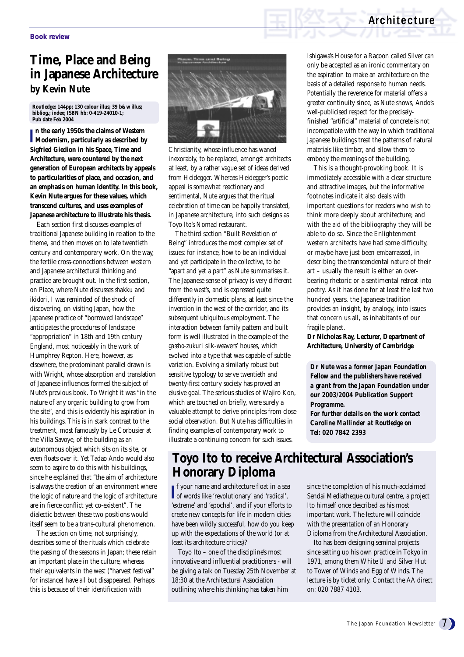## **Architecture**

# **Time, Place and Being in Japanese Architecture by Kevin Nute**

**Routledge: 144pp; 130 colour illus; 39 b&w illus; bibliog.; index; ISBN hb: 0-419-24010-1; Pub date Feb 2004**

**I Modernism, particularly as described by n the early 1950s the claims of Western Sigfried Giedion in his Space, Time and Architecture, were countered by the next generation of European architects by appeals to particularities of place, and occasion, and an emphasis on human identity. In this book, Kevin Nute argues for these values, which transcend cultures, and uses examples of Japanese architecture to illustrate his thesis.**

Each section first discusses examples of traditional Japanese building in relation to the theme, and then moves on to late twentieth century and contemporary work. On the way, the fertile cross-connections between western and Japanese architectural thinking and practice are brought out. In the first section, on Place, where Nute discusses *shakku* and *ikidori*, I was reminded of the shock of discovering, on visiting Japan, how the Japanese practice of "borrowed landscape" anticipates the procedures of landscape "appropriation" in 18th and 19th century England, most noticeably in the work of Humphrey Repton. Here, however, as elsewhere, the predominant parallel drawn is with Wright, whose absorption and translation of Japanese influences formed the subject of Nute's previous book. To Wright it was "in the nature of any organic building to grow from the site", and this is evidently his aspiration in his buildings. This is in stark contrast to the treatment, most famously by Le Corbusier at the Villa Savoye, of the building as an autonomous object which sits on its site, or even floats over it. Yet Tadao Ando would also seem to aspire to do this with his buildings, since he explained that "the aim of architecture is always the creation of an environment where the logic of nature and the logic of architecture are in fierce conflict yet co-existent". The dialectic between these two positions would itself seem to be a trans-cultural phenomenon.

The section on time, not surprisingly, describes some of the rituals which celebrate the passing of the seasons in Japan; these retain an important place in the culture, whereas their equivalents in the west ("harvest festival" for instance) have all but disappeared. Perhaps this is because of their identification with



Christianity, whose influence has waned inexorably, to be replaced, amongst architects at least, by a rather vague set of ideas derived from Heidegger. Whereas Heidegger's poetic appeal is somewhat reactionary and sentimental, Nute argues that the ritual celebration of time can be happily translated, in Japanese architecture, into such designs as Toyo Ito's Nomad restaurant.

The third section "Built Revelation of Being" introduces the most complex set of issues: for instance, how to be an individual and yet participate in the collective, to be "apart and yet a part" as Nute summarises it. The Japanese sense of privacy is very different from the west's, and is expressed quite differently in domestic plans, at least since the invention in the west of the corridor, and its subsequent ubiquitous employment. The interaction between family pattern and built form is well illustrated in the example of the *gassho-zukuri* silk-weavers' houses, which evolved into a type that was capable of subtle variation. Evolving a similarly robust but sensitive typology to serve twentieth and twenty-first century society has proved an elusive goal. The serious studies of Wajiro Kon, which are touched on briefly, were surely a valuable attempt to derive principles from close social observation. But Nute has difficulties in finding examples of contemporary work to illustrate a continuing concern for such issues.

Ishigawa's House for a Racoon called Silver can only be accepted as an ironic commentary on the aspiration to make an architecture on the basis of a detailed response to human needs. Potentially the reverence for material offers a greater continuity since, as Nute shows, Ando's well-publicised respect for the preciselyfinished "artificial" material of concrete is not incompatible with the way in which traditional Japanese buildings treat the patterns of natural materials like timber, and allow them to embody the meanings of the building.

This is a thought-provoking book. It is immediately accessible with a clear structure and attractive images, but the informative footnotes indicate it also deals with important questions for readers who wish to think more deeply about architecture; and with the aid of the bibliography they will be able to do so. Since the Enlightenment western architects have had some difficulty, or maybe have just been embarrassed, in describing the transcendental nature of their art – usually the result is either an overbearing rhetoric or a sentimental retreat into poetry. As it has done for at least the last two hundred years, the Japanese tradition provides an insight, by analogy, into issues that concern us all, as inhabitants of our fragile planet.

**Dr Nicholas Ray, Lecturer, Department of Architecture, University of Cambridge**

*Dr Nute was a former Japan Foundation Fellow and the publishers have received a grant from the Japan Foundation under our 2003/2004 Publication Support Programme. For further details on the work contact Caroline Mallinder at Routledge on Tel: 020 7842 2393*

## **Toyo Ito to receive Architectural Association's Honorary Diploma**

**I**<sup>f</sup> your name and architecture float in a sea of words like 'revolutionary' and 'radical', of words like 'revolutionary' and 'radical', 'extreme' and 'epochal', and if your efforts to create new concepts for life in modern cities have been wildly successful, how do you keep up with the expectations of the world (or at least its architecture critics)?

Toyo Ito – one of the discipline's most innovative and influential practitioners - will be giving a talk on Tuesday 25th November at 18:30 at the Architectural Association outlining where his thinking has taken him

since the completion of his much-acclaimed Sendai Mediatheque cultural centre, a project Ito himself once described as his most important work. The lecture will coincide with the presentation of an Honorary Diploma from the Architectural Association.

Ito has been designing seminal projects since setting up his own practice in Tokyo in 1971, among them White U and Silver Hut to Tower of Winds and Egg of Winds. The lecture is by ticket only. Contact the AA direct on: 020 7887 4103.